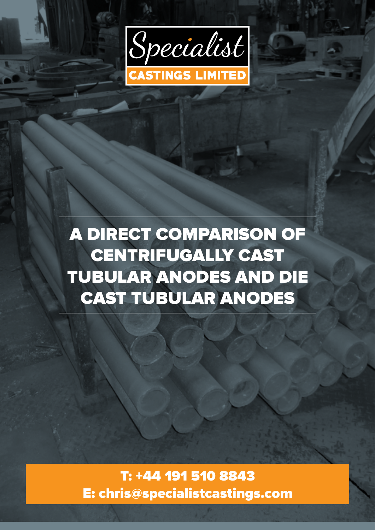

A DIRECT COMPARISON OF CENTRIFUGALLY CAST TUBULAR ANODES AND DIE CAST TUBULAR ANODES

T: +44 191 510 8843 E: chris@specialistcastings.com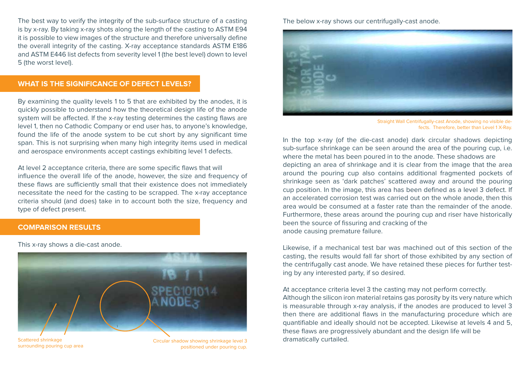The best way to verify the integrity of the sub-surface structure of a casting is by x-ray. By taking x-ray shots along the length of the casting to ASTM E94 it is possible to view images of the structure and therefore universally define the overall integrity of the casting. X-ray acceptance standards ASTM E186 and ASTM E446 list defects from severity level 1 (the best level) down to level 5 (the worst level).

## **WHAT IS THE SIGNIFICANCE OF DEFECT LEVELS?**

By examining the quality levels 1 to 5 that are exhibited by the anodes, it is quickly possible to understand how the theoretical design life of the anode system will be affected. If the x-ray testing determines the casting flaws are level 1, then no Cathodic Company or end user has, to anyone's knowledge, found the life of the anode system to be cut short by any significant time span. This is not surprising when many high integrity items used in medical and aerospace environments accept castings exhibiting level 1 defects.

At level 2 acceptance criteria, there are some specific flaws that will influence the overall life of the anode, however, the size and frequency of these flaws are sufficiently small that their existence does not immediately necessitate the need for the casting to be scrapped. The x-ray acceptance criteria should (and does) take in to account both the size, frequency and type of defect present.

#### **COMPARISON RESULTS**

This x-ray shows a die-cast anode.



surrounding pouring cup area

Circular shadow showing shrinkage level 3 positioned under pouring cup.

The below x-ray shows our centrifugally-cast anode.



Straight Wall Centrifugally-cast Anode, showing no visible defects. Therefore, better than Level 1 X-Ray.

In the top x-ray (of the die-cast anode) dark circular shadows depicting sub-surface shrinkage can be seen around the area of the pouring cup, i.e. where the metal has been poured in to the anode. These shadows are depicting an area of shrinkage and it is clear from the image that the area around the pouring cup also contains additional fragmented pockets of shrinkage seen as 'dark patches' scattered away and around the pouring cup position. In the image, this area has been defined as a level 3 defect. If an accelerated corrosion test was carried out on the whole anode, then this area would be consumed at a faster rate than the remainder of the anode. Furthermore, these areas around the pouring cup and riser have historically been the source of fissuring and cracking of the anode causing premature failure.

Likewise, if a mechanical test bar was machined out of this section of the casting, the results would fall far short of those exhibited by any section of the centrifugally cast anode. We have retained these pieces for further testing by any interested party, if so desired.

At acceptance criteria level 3 the casting may not perform correctly. Although the silicon iron material retains gas porosity by its very nature which is measurable through x-ray analysis, if the anodes are produced to level 3 then there are additional flaws in the manufacturing procedure which are quantifiable and ideally should not be accepted. Likewise at levels 4 and 5, these flaws are progressively abundant and the design life will be dramatically curtailed.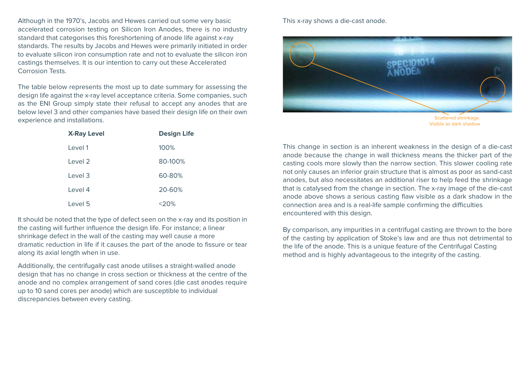Although in the 1970's, Jacobs and Hewes carried out some very basic accelerated corrosion testing on Silicon Iron Anodes, there is no industry standard that categorises this foreshortening of anode life against x-ray standards. The results by Jacobs and Hewes were primarily initiated in order to evaluate silicon iron consumption rate and not to evaluate the silicon iron castings themselves. It is our intention to carry out these Accelerated Corrosion Tests.

The table below represents the most up to date summary for assessing the design life against the x-ray level acceptance criteria. Some companies, such as the ENI Group simply state their refusal to accept any anodes that are below level 3 and other companies have based their design life on their own experience and installations.

| <b>X-Ray Level</b> | <b>Design Life</b> |
|--------------------|--------------------|
| Level 1            | 100%               |
| Level 2            | 80-100%            |
| Level 3            | 60-80%             |
| Level 4            | 20-60%             |
| Level 5            | $20\%$             |

It should be noted that the type of defect seen on the x-ray and its position in the casting will further influence the design life. For instance; a linear shrinkage defect in the wall of the casting may well cause a more dramatic reduction in life if it causes the part of the anode to fissure or tear along its axial length when in use.

Additionally, the centrifugally cast anode utilises a straight-walled anode design that has no change in cross section or thickness at the centre of the anode and no complex arrangement of sand cores (die cast anodes require up to 10 sand cores per anode) which are susceptible to individual discrepancies between every casting.

### This x-ray shows a die-cast anode.



Visible as dark shadow

This change in section is an inherent weakness in the design of a die-cast anode because the change in wall thickness means the thicker part of the casting cools more slowly than the narrow section. This slower cooling rate not only causes an inferior grain structure that is almost as poor as sand-cast anodes, but also necessitates an additional riser to help feed the shrinkage that is catalysed from the change in section. The x-ray image of the die-cast anode above shows a serious casting flaw visible as a dark shadow in the connection area and is a real-life sample confirming the difficulties encountered with this design.

By comparison, any impurities in a centrifugal casting are thrown to the bore of the casting by application of Stoke's law and are thus not detrimental to the life of the anode. This is a unique feature of the Centrifugal Casting method and is highly advantageous to the integrity of the casting.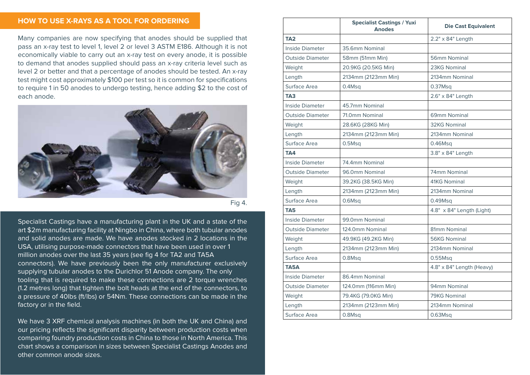# **HOW TO USE X-RAYS AS A TOOL FOR ORDERING**

Many companies are now specifying that anodes should be supplied that pass an x-ray test to level 1, level 2 or level 3 ASTM E186. Although it is not economically viable to carry out an x-ray test on every anode, it is possible to demand that anodes supplied should pass an x-ray criteria level such as level 2 or better and that a percentage of anodes should be tested. An x-ray test might cost approximately \$100 per test so it is common for specifications to require 1 in 50 anodes to undergo testing, hence adding \$2 to the cost of each anode.



Fig 4.

Specialist Castings have a manufacturing plant in the UK and a state of the art \$2m manufacturing facility at Ningbo in China, where both tubular anodes and solid anodes are made. We have anodes stocked in 2 locations in the USA, utilising purpose-made connectors that have been used in over 1 million anodes over the last 35 years (see fig 4 for TA2 and TA5A connectors). We have previously been the only manufacturer exclusively supplying tubular anodes to the Durichlor 51 Anode company. The only tooling that is required to make these connections are 2 torque wrenches (1.2 metres long) that tighten the bolt heads at the end of the connectors, to a pressure of 40lbs (ft/lbs) or 54Nm. These connections can be made in the factory or in the field.

We have 3 XRF chemical analysis machines (in both the UK and China) and our pricing reflects the significant disparity between production costs when comparing foundry production costs in China to those in North America. This chart shows a comparison in sizes between Specialist Castings Anodes and other common anode sizes.

|                         | <b>Specialist Castings / Yuxi</b><br><b>Anodes</b> | <b>Die Cast Equivalent</b> |
|-------------------------|----------------------------------------------------|----------------------------|
| TA <sub>2</sub>         |                                                    | 2.2" x 84" Length          |
| Inside Diameter         | 35.6mm Nominal                                     |                            |
| <b>Outside Diameter</b> | 58mm (51mm Min)                                    | 56mm Nominal               |
| Weight                  | 20.9KG (20.5KG Min)                                | 23KG Nominal               |
| Length                  | 2134mm (2123mm Min)                                | 2134mm Nominal             |
| Surface Area            | 0.4Msq                                             | 0.37M <sub>Sq</sub>        |
| TA <sub>3</sub>         |                                                    | 2.6" x 84" Length          |
| Inside Diameter         | 45.7mm Nominal                                     |                            |
| Outside Diameter        | 71.0mm Nominal                                     | 69mm Nominal               |
| Weight                  | 28.6KG (28KG Min)                                  | <b>32KG Nominal</b>        |
| Length                  | 2134mm (2123mm Min)                                | 2134mm Nominal             |
| Surface Area            | 0.5M <sub>Sq</sub>                                 | $0.46$ Msq                 |
| TA4                     |                                                    | 3.8" x 84" Length          |
| Inside Diameter         | 74.4mm Nominal                                     |                            |
| <b>Outside Diameter</b> | 96.0mm Nominal                                     | 74mm Nominal               |
| Weight                  | 39.2KG (38.5KG Min)                                | 41KG Nominal               |
| Length                  | 2134mm (2123mm Min)                                | 2134mm Nominal             |
| Surface Area            | $0.6M$ sq                                          | $0.49$ Msq                 |
| TA <sub>5</sub>         |                                                    | 4.8" x 84" Length (Light)  |
| Inside Diameter         | 99.0mm Nominal                                     |                            |
| <b>Outside Diameter</b> | 124.0mm Nominal                                    | 81mm Nominal               |
| Weight                  | 49.9KG (49.2KG Min)                                | <b>56KG Nominal</b>        |
| Length                  | 2134mm (2123mm Min)                                | 2134mm Nominal             |
| Surface Area            | $0.8M$ sq                                          | 0.55Msq                    |
| TA5A                    |                                                    | 4.8" x 84" Length (Heavy)  |
| Inside Diameter         | 86.4mm Nominal                                     |                            |
| <b>Outside Diameter</b> | 124.0mm (116mm Min)                                | 94mm Nominal               |
| Weight                  | 79.4KG (79.0KG Min)                                | 79KG Nominal               |
| Length                  | 2134mm (2123mm Min)                                | 2134mm Nominal             |
| Surface Area            | $0.8M$ sq                                          | $0.63$ Msq                 |